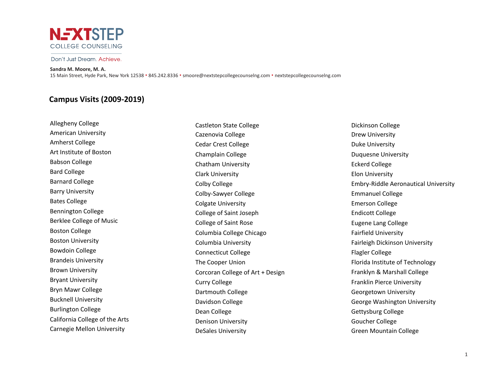

### Don't Just Dream, Achieve.

#### **Sandra M. Moore, M. A.**

15 Main Street, Hyde Park, New York 12538 • 845.242.8336 • smoore@nextstepcollegecounselng.com • nextstepcollegecounselng.com

## **Campus Visits (2009-2019)**

Allegheny College American University Amherst College Art Institute of Boston Babson College Bard College Barnard College Barry University Bates College Bennington College Berklee College of Music Boston College Boston University Bowdoin College Brandeis University Brown University Bryant University Bryn Mawr College Bucknell University Burlington College California College of the Arts Carnegie Mellon University

Castleton State College Cazenovia College Cedar Crest College Champlain College Chatham University Clark University Colby College Colby-Sawyer College Colgate University College of Saint Joseph College of Saint Rose Columbia College Chicago Columbia University Connecticut College The Cooper Union Corcoran College of Art + Design Curry College Dartmouth College Davidson College Dean College Denison University DeSales University

Dickinson College Drew University Duke University Duquesne University Eckerd College Elon University Embry-Riddle Aeronautical University Emmanuel College Emerson College Endicott College Eugene Lang College Fairfield University Fairleigh Dickinson University Flagler College Florida Institute of Technology Franklyn & Marshall College Franklin Pierce University Georgetown University George Washington University Gettysburg College Goucher College Green Mountain College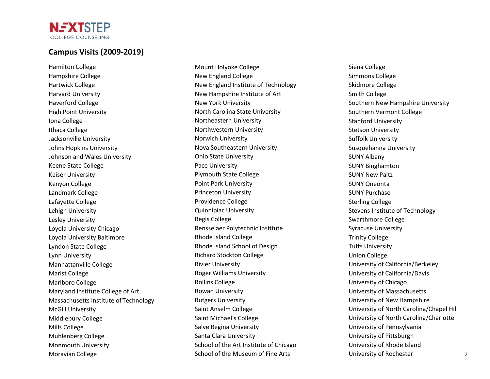# **Campus Visits (2009-2019)**

**NEXTSTEP** COLLEGE COUNSELING

Hamilton College Hampshire College Hartwick College Harvard University Haverford College High Point University Iona College Ithaca College Jacksonville University Johns Hopkins University Johnson and Wales University Keene State College Keiser University Kenyon College Landmark College Lafayette College Lehigh University Lesley University Loyola University Chicago Loyola University Baltimore Lyndon State College Lynn University Manhattanville College Marist College Marlboro College Maryland Institute College of Art Massachusetts Institute of Technology McGill University Middlebury College Mills College Muhlenberg College Monmouth University Moravian College

Mount Holyoke College New England College New England Institute of Technology New Hampshire Institute of Art New York University North Carolina State University Northeastern University Northwestern University Norwich University Nova Southeastern University Ohio State University Pace University Plymouth State College Point Park University Princeton University Providence College Quinnipiac University Regis College Rensselaer Polytechnic Institute Rhode Island College Rhode Island School of Design Richard Stockton College Rivier University Roger Williams University Rollins College Rowan University Rutgers University Saint Anselm College Saint Michael's College Salve Regina University Santa Clara University School of the Art Institute of Chicago School of the Museum of Fine Arts

Siena College Simmons College Skidmore College Smith College Southern New Hampshire University Southern Vermont College Stanford University Stetson University Suffolk University Susquehanna University SUNY Albany SUNY Binghamton SUNY New Paltz SUNY Oneonta SUNY Purchase Sterling College Stevens Institute of Technology Swarthmore College Syracuse University Trinity College Tufts University Union College University of California/Berkeley University of California/Davis University of Chicago University of Massachusetts University of New Hampshire University of North Carolina/Chapel Hill University of North Carolina/Charlotte University of Pennsylvania University of Pittsburgh University of Rhode Island University of Rochester 2